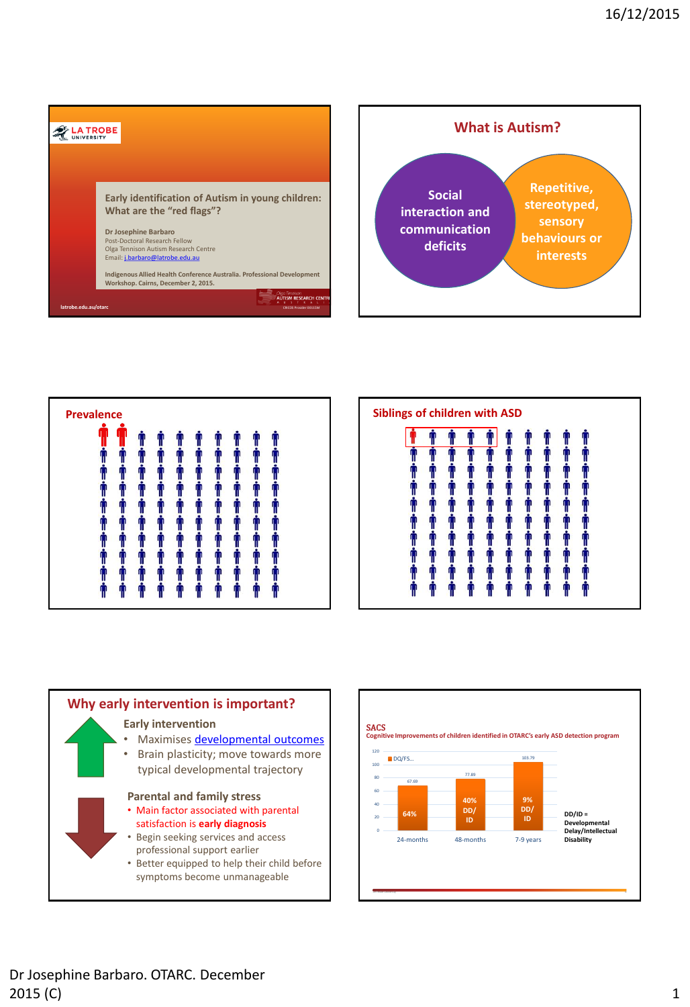





<span id="page-0-0"></span>

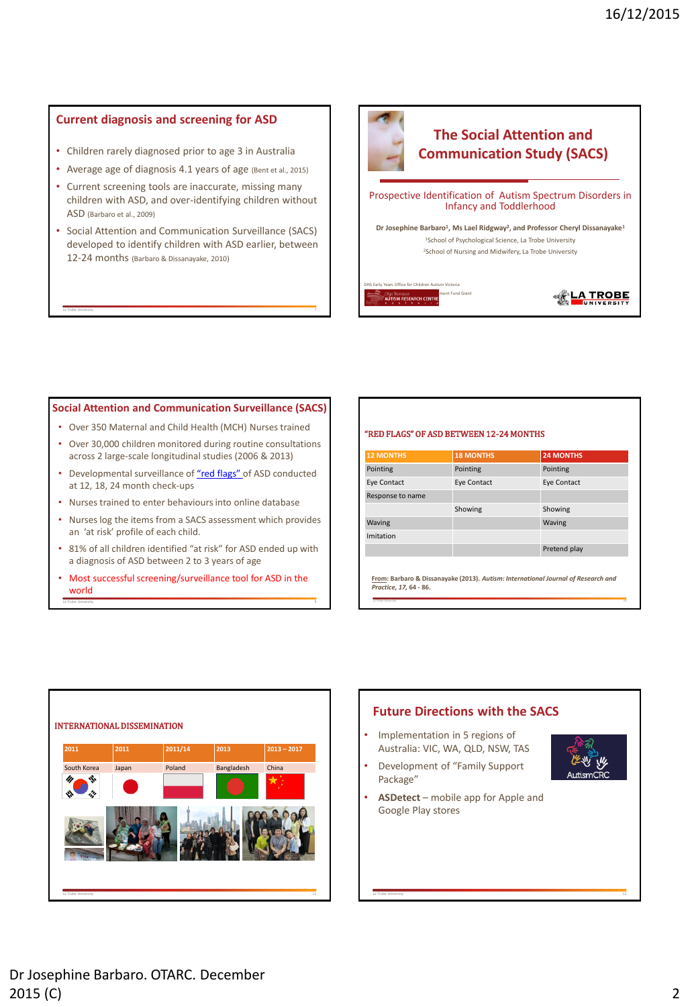# **Current diagnosis and screening for ASD**

- Children rarely diagnosed prior to age 3 in Australia
- Average age of diagnosis 4.1 years of age (Bent et al., 2015)
- Current screening tools are inaccurate, missing many children with ASD, and over-identifying children without ASD (Barbaro et al., 2009)
- Social Attention and Communication Surveillance (SACS) developed to identify children with ASD earlier, between 12-24 months (Barbaro & Dissanayake, 2010)

La Trobe University 7



### **Social Attention and Communication Surveillance (SACS)**

- Over 350 Maternal and Child Health (MCH) Nurses trained
- Over 30,000 children monitored during routine consultations across 2 large-scale longitudinal studies (2006 & 2013)
- Developmental surveillance of ["red flags"](#page-1-0) of ASD conducted at 12, 18, 24 month check-ups
- Nurses trained to enter behaviours into online database
- Nurses log the items from a SACS assessment which provides an 'at risk' profile of each child.
- 81% of all children identified "at risk" for ASD ended up with a diagnosis of ASD between 2 to 3 years of age
- La Trobe University 9 • Most successful screening/surveillance tool for ASD in the world

#### "RED FLAGS" OF ASD BETWEEN 12-24 MONTHS

| <b>12 MONTHS</b>                                                                                            | <b>18 MONTHS</b> | <b>24 MONTHS</b>   |
|-------------------------------------------------------------------------------------------------------------|------------------|--------------------|
| Pointing                                                                                                    | Pointing         | Pointing           |
| <b>Eye Contact</b>                                                                                          | Eye Contact      | <b>Eye Contact</b> |
| Response to name                                                                                            |                  |                    |
|                                                                                                             | Showing          | Showing            |
| Waving                                                                                                      |                  | Waving             |
| Imitation                                                                                                   |                  |                    |
|                                                                                                             |                  | Pretend play       |
| From: Barbaro & Dissanayake (2013). Autism: International Journal of Research and<br>Practice. 17. 64 - 86. |                  |                    |

La Trobe University 2018 - 2019 - 2019 - 2019 - 2019 - 2019 - 2019 - 2019 - 2019 - 2019 - 2019 - 2019 - 2019 - 2019 - 2019 - 2019 - 2019 - 2019 - 2019 - 2019 - 2019 - 2019 - 2019 - 2019 - 2019 - 2019 - 2019 - 2019 - 2019 -

La Trobe University 12

<span id="page-1-0"></span>

# **Future Directions with the SACS**

• Implementation in 5 regions of Australia: VIC, WA, QLD, NSW, TAS • Development of "Family Support

Package"



• **ASDetect** – mobile app for Apple and Google Play stores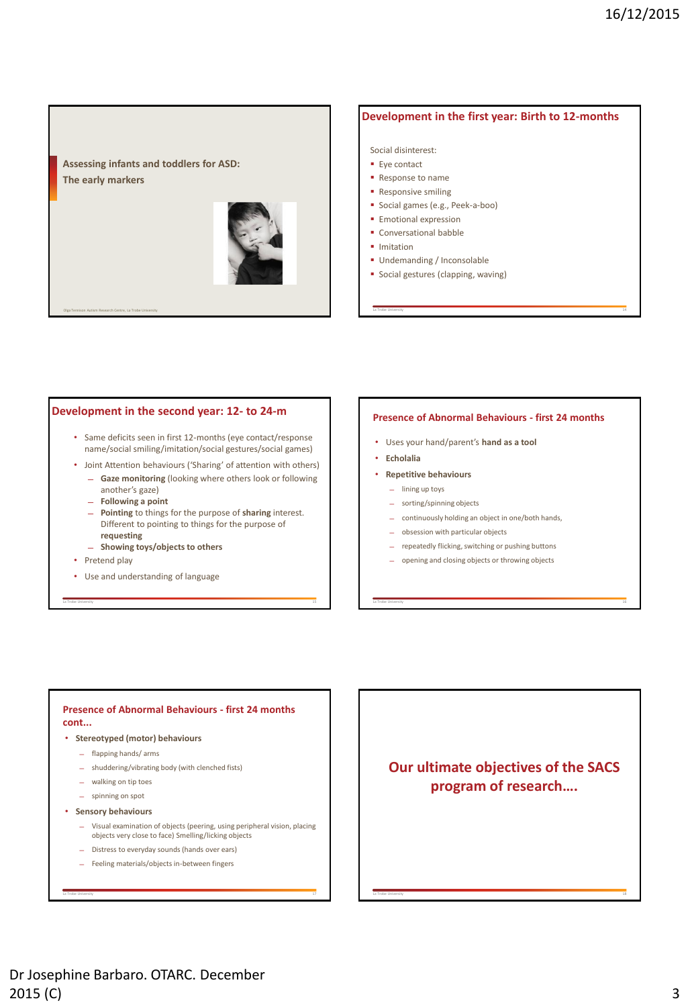**Assessing infants and toddlers for ASD: The early markers**



Olga Tennison Autism Research Centre, La Trobe University La Trobe University La Trobe University La Trobe University La Trobe University La Trobe University La Trobe University La Trobe University La Trobe University La T

# **Development in the first year: Birth to 12-months**

Social disinterest:

- **Eye contact**
- Response to name
- **Responsive smiling**
- Social games (e.g., Peek-a-boo)
- **Emotional expression**
- **Conversational babble**
- **I** Imitation
- **Undemanding / Inconsolable**
- **Social gestures (clapping, waving)**

### **Development in the second year: 12- to 24-m**

- Same deficits seen in first 12-months (eye contact/response name/social smiling/imitation/social gestures/social games)
- Joint Attention behaviours ('Sharing' of attention with others)
	- ̶ **Gaze monitoring** (looking where others look or following another's gaze)
	- ̶ **Following a point**
	- ̶ **Pointing** to things for the purpose of **sharing** interest. Different to pointing to things for the purpose of **requesting**

La Trobe University 15

- ̶ **Showing toys/objects to others**
- Pretend play
- Use and understanding of language

#### **Presence of Abnormal Behaviours - first 24 months**

- Uses your hand/parent's **hand as a tool**
- **Echolalia**
- **Repetitive behaviours**
	- ̶ lining up toys
	- ̶ sorting/spinning objects
	- ̶ continuously holding an object in one/both hands,
	- ̶ obsession with particular objects
	- ̶ repeatedly flicking, switching or pushing buttons
	- ̶ opening and closing objects or throwing objects

La Trobe University and the University of the University of the University of the University of the University

### **Presence of Abnormal Behaviours - first 24 months cont...**

- **Stereotyped (motor) behaviours**
	- ̶ flapping hands/ arms
	- ̶ shuddering/vibrating body (with clenched fists)
	- ̶ walking on tip toes
	- ̶ spinning on spot
- **Sensory behaviours**
	- ̶ Visual examination of objects (peering, using peripheral vision, placing objects very close to face) Smelling/licking objects

La Trobe University 17

- ̶ Distress to everyday sounds (hands over ears)
- ̶ Feeling materials/objects in-between fingers

**Our ultimate objectives of the SACS program of research….**

La Trobe University 18